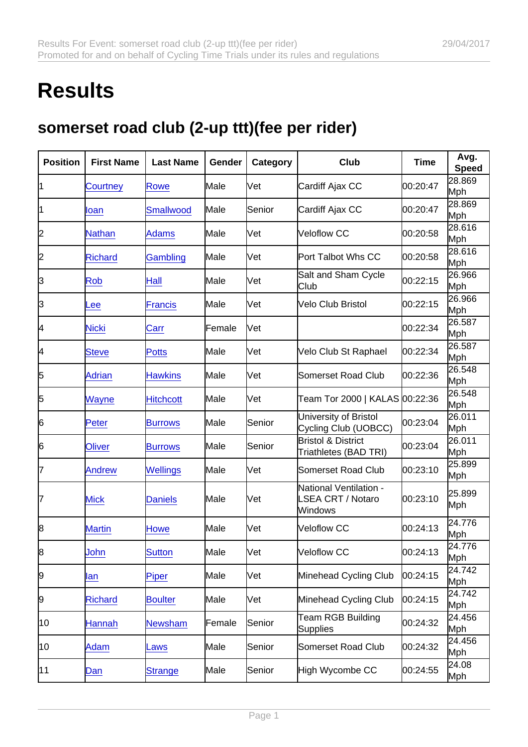## **Results**

## somerset road club (2-up ttt)(fee per rider)

| Position | <b>First Name</b> | Last Name        | Gender | Category | Club                                                          | Time     | Avg.<br>Speed        |
|----------|-------------------|------------------|--------|----------|---------------------------------------------------------------|----------|----------------------|
| 11       | Courtney          | Rowe             | Male   | Vet      | Cardiff Ajax CC                                               | 00:20:47 | 28.869<br>Mph        |
| 1        | loan              | <b>Smallwood</b> | Male   | Senior   | Cardiff Ajax CC                                               | 00:20:47 | 28.869<br>Mph        |
| 2        | <b>Nathan</b>     | <b>Adams</b>     | Male   | Vet      | Veloflow CC                                                   | 00:20:58 | 28.616<br>Mph        |
| 2        | <b>Richard</b>    | Gambling         | Male   | Vet      | Port Talbot Whs CC                                            | 00:20:58 | 28.616<br>Mph        |
| З        | Rob               | Hall             | Male   | Vet      | Salt and Sham Cycle<br>Club                                   | 00:22:15 | 26.966<br>Mph        |
| 3        | Lee               | <b>Francis</b>   | Male   | Vet      | Velo Club Bristol                                             | 00:22:15 | 26.966<br>Mph        |
| 4        | <b>Nicki</b>      | Carr             | Female | Vet      |                                                               | 00:22:34 | 26.587<br>Mph        |
| 4        | <b>Steve</b>      | <b>Potts</b>     | Male   | Vet      | Velo Club St Raphael                                          | 00:22:34 | 26.587<br>Mph        |
| 5        | <b>Adrian</b>     | <b>Hawkins</b>   | Male   | Vet      | Somerset Road Club                                            | 00:22:36 | 26.548<br>Mph        |
| 5        | Wayne             | <b>Hitchcott</b> | Male   | Vet      | Team Tor 2000   KALAS 00:22:36                                |          | 26.548<br>Mph        |
| 6        | Peter             | <b>Burrows</b>   | Male   | Senior   | University of Bristol<br>Cycling Club (UOBCC)                 | 00:23:04 | 26.011<br>Mph        |
| 6        | <b>Oliver</b>     | <b>Burrows</b>   | Male   | Senior   | <b>Bristol &amp; District</b><br>Triathletes (BAD TRI)        | 00:23:04 | 26.011<br>Mph        |
| 7        | <b>Andrew</b>     | <b>Wellings</b>  | Male   | Vet      | Somerset Road Club                                            | 00:23:10 | 25.899<br>Mph        |
| 7        | <b>Mick</b>       | <b>Daniels</b>   | Male   | Vet      | National Ventilation -<br><b>LSEA CRT / Notaro</b><br>Windows | 00:23:10 | 25.899<br>Mph        |
| 8        | <b>Martin</b>     | <b>Howe</b>      | Male   | Vet      | Veloflow CC                                                   | 00:24:13 | 24.776<br>Mph        |
| 8        | John              | <b>Sutton</b>    | Male   | Vet      | Veloflow CC                                                   | 00:24:13 | 24.776<br>Mph        |
| 9        | lan               | Piper            | Male   | Vet      | Minehead Cycling Club                                         | 00:24:15 | 24.742<br>Mph        |
| 9        | <b>Richard</b>    | <b>Boulter</b>   | Male   | Vet      | Minehead Cycling Club                                         | 00:24:15 | 24.742<br>Mph        |
| 10       | <b>Hannah</b>     | <b>Newsham</b>   | Female | Senior   | Team RGB Building<br><b>Supplies</b>                          | 00:24:32 | 24.456<br><b>Mph</b> |
| 10       | Adam              | Laws             | Male   | Senior   | Somerset Road Club                                            | 00:24:32 | 24.456<br>Mph        |
| 11       | Dan               | <b>Strange</b>   | Male   | Senior   | High Wycombe CC                                               | 00:24:55 | 24.08<br>Mph         |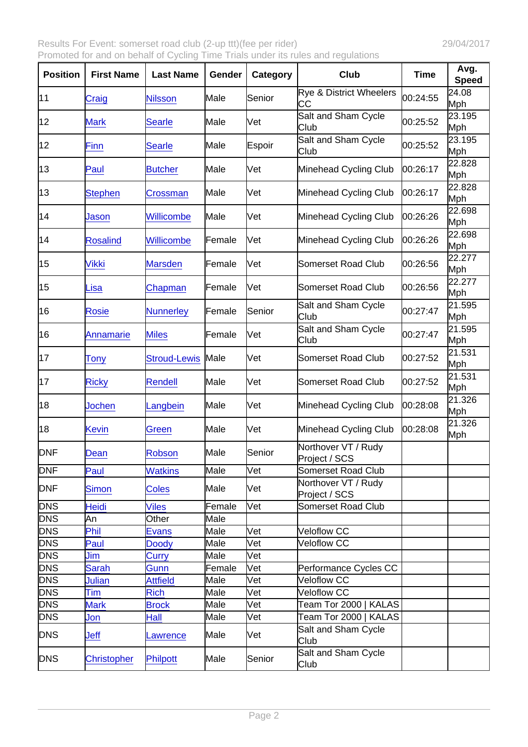| Position   | <b>First Name</b>  | Last Name           | Gender        | Category | Club                                     | Time     | Avg.<br>Speed |
|------------|--------------------|---------------------|---------------|----------|------------------------------------------|----------|---------------|
| 11         | Craig              | <b>Nilsson</b>      | Male          | Senior   | <b>Rye &amp; District Wheelers</b><br>CС | 00:24:55 | 24.08<br>Mph  |
| 12         | <b>Mark</b>        | <b>Searle</b>       | Male          | Vet      | Salt and Sham Cycle<br>Club              | 00:25:52 | 23.195<br>Mph |
| 12         | <b>Finn</b>        | <b>Searle</b>       | Male          | Espoir   | Salt and Sham Cycle<br>Club              | 00:25:52 | 23.195<br>Mph |
| 13         | Paul               | <b>Butcher</b>      | lMale         | Vet      | Minehead Cycling Club                    | 00:26:17 | 22.828<br>Mph |
| 13         | <b>Stephen</b>     | Crossman            | Male          | Vet      | Minehead Cycling Club                    | 00:26:17 | 22.828<br>Mph |
| 14         | Jason              | Willicombe          | Male          | Vet      | Minehead Cycling Club                    | 00:26:26 | 22.698<br>Mph |
| 14         | <b>Rosalind</b>    | Willicombe          | Female        | Vet      | Minehead Cycling Club                    | 00:26:26 | 22.698<br>Mph |
| 15         | <b>Vikki</b>       | <b>Marsden</b>      | Female        | Vet      | Somerset Road Club                       | 00:26:56 | 22.277<br>Mph |
| 15         | Lisa               | Chapman             | Female        | Vet      | Somerset Road Club                       | 00:26:56 | 22.277<br>Mph |
| 16         | <b>Rosie</b>       | <b>Nunnerley</b>    | <b>Female</b> | Senior   | Salt and Sham Cycle<br>Club              | 00:27:47 | 21.595<br>Mph |
| 16         | <b>Annamarie</b>   | <b>Miles</b>        | Female        | Vet      | Salt and Sham Cycle<br>Club              | 00:27:47 | 21.595<br>Mph |
| 17         | <b>Tony</b>        | <b>Stroud-Lewis</b> | Male          | Vet      | Somerset Road Club                       | 00:27:52 | 21.531<br>Mph |
| 17         | <b>Ricky</b>       | <b>Rendell</b>      | Male          | Vet      | Somerset Road Club                       | 00:27:52 | 21.531<br>Mph |
| 18         | <b>Jochen</b>      | _angbein            | Male          | Vet      | Minehead Cycling Club                    | 00:28:08 | 21.326<br>Mph |
| 18         | <b>Kevin</b>       | Green               | Male          | Vet      | Minehead Cycling Club                    | 00:28:08 | 21.326<br>Mph |
| <b>DNF</b> | Dean               | <b>Robson</b>       | Male          | Senior   | Northover VT / Rudy<br>Project / SCS     |          |               |
| <b>DNF</b> | Paul               | <b>Watkins</b>      | Male          | Vet      | Somerset Road Club                       |          |               |
| <b>DNF</b> | <b>Simon</b>       | <b>Coles</b>        | Male          | Vet      | Northover VT / Rudy<br>Project / SCS     |          |               |
| <b>DNS</b> | <b>Heidi</b>       | <b>Viles</b>        | Female        | Vet      | Somerset Road Club                       |          |               |
| <b>DNS</b> | An                 | Other               | Male          |          |                                          |          |               |
| <b>DNS</b> | Phil               | <b>Evans</b>        | Male          | Vet      | Veloflow CC                              |          |               |
| <b>DNS</b> | Paul               | <b>Doody</b>        | Male          | Vet      | <b>Veloflow CC</b>                       |          |               |
| <b>DNS</b> | Jim                | Curry               | Male          | Vet      |                                          |          |               |
| <b>DNS</b> | <b>Sarah</b>       | Gunn                | Female        | Vet      | Performance Cycles CC                    |          |               |
| <b>DNS</b> | Julian             | <b>Attfield</b>     | Male          | Vet      | Veloflow CC                              |          |               |
| <b>DNS</b> | <b>Tim</b>         | <b>Rich</b>         | Male          | Vet      | Veloflow CC                              |          |               |
| <b>DNS</b> | <b>Mark</b>        | <b>Brock</b>        | Male          | Vet      | Team Tor 2000   KALAS                    |          |               |
| <b>DNS</b> | Jon                | Hall                | Male          | Vet      | Team Tor 2000   KALAS                    |          |               |
| <b>DNS</b> | Jeff               | Lawrence            | Male          | Vet      | Salt and Sham Cycle<br>Club              |          |               |
| <b>DNS</b> | <b>Christopher</b> | Philpott            | Male          | Senior   | Salt and Sham Cycle<br>Club              |          |               |